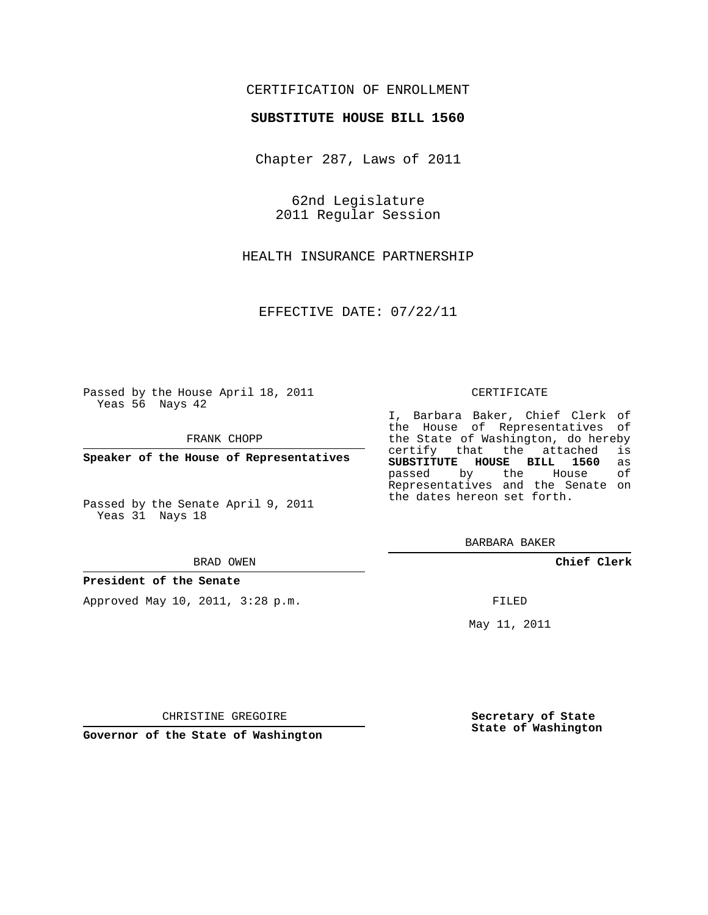## CERTIFICATION OF ENROLLMENT

### **SUBSTITUTE HOUSE BILL 1560**

Chapter 287, Laws of 2011

62nd Legislature 2011 Regular Session

HEALTH INSURANCE PARTNERSHIP

EFFECTIVE DATE: 07/22/11

Passed by the House April 18, 2011 Yeas 56 Nays 42

FRANK CHOPP

**Speaker of the House of Representatives**

Passed by the Senate April 9, 2011 Yeas 31 Nays 18

#### BRAD OWEN

### **President of the Senate**

Approved May 10, 2011, 3:28 p.m.

### CERTIFICATE

I, Barbara Baker, Chief Clerk of the House of Representatives of the State of Washington, do hereby<br>certify that the attached is certify that the attached is<br>**SUBSTITUTE HOUSE BILL 1560** as **SUBSTITUTE HOUSE BILL 1560** as passed by the House Representatives and the Senate on the dates hereon set forth.

BARBARA BAKER

**Chief Clerk**

FILED

May 11, 2011

**Secretary of State State of Washington**

CHRISTINE GREGOIRE

**Governor of the State of Washington**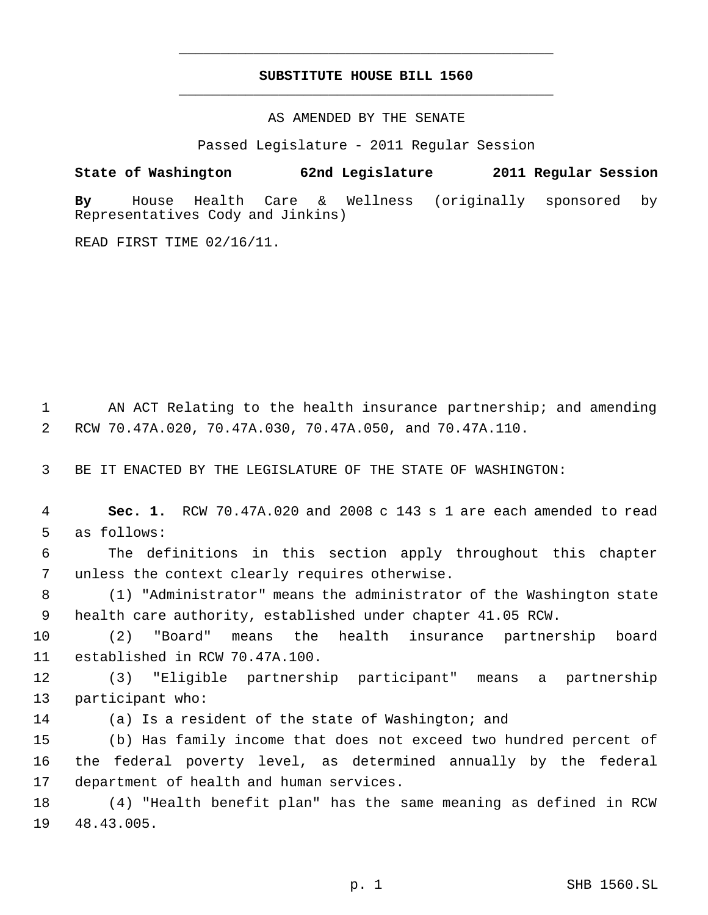# **SUBSTITUTE HOUSE BILL 1560** \_\_\_\_\_\_\_\_\_\_\_\_\_\_\_\_\_\_\_\_\_\_\_\_\_\_\_\_\_\_\_\_\_\_\_\_\_\_\_\_\_\_\_\_\_

\_\_\_\_\_\_\_\_\_\_\_\_\_\_\_\_\_\_\_\_\_\_\_\_\_\_\_\_\_\_\_\_\_\_\_\_\_\_\_\_\_\_\_\_\_

AS AMENDED BY THE SENATE

Passed Legislature - 2011 Regular Session

**State of Washington 62nd Legislature 2011 Regular Session By** House Health Care & Wellness (originally sponsored by Representatives Cody and Jinkins)

READ FIRST TIME 02/16/11.

 AN ACT Relating to the health insurance partnership; and amending RCW 70.47A.020, 70.47A.030, 70.47A.050, and 70.47A.110.

BE IT ENACTED BY THE LEGISLATURE OF THE STATE OF WASHINGTON:

 **Sec. 1.** RCW 70.47A.020 and 2008 c 143 s 1 are each amended to read as follows:

 The definitions in this section apply throughout this chapter unless the context clearly requires otherwise.

 (1) "Administrator" means the administrator of the Washington state health care authority, established under chapter 41.05 RCW.

 (2) "Board" means the health insurance partnership board established in RCW 70.47A.100.

 (3) "Eligible partnership participant" means a partnership participant who:

(a) Is a resident of the state of Washington; and

 (b) Has family income that does not exceed two hundred percent of the federal poverty level, as determined annually by the federal department of health and human services.

 (4) "Health benefit plan" has the same meaning as defined in RCW 48.43.005.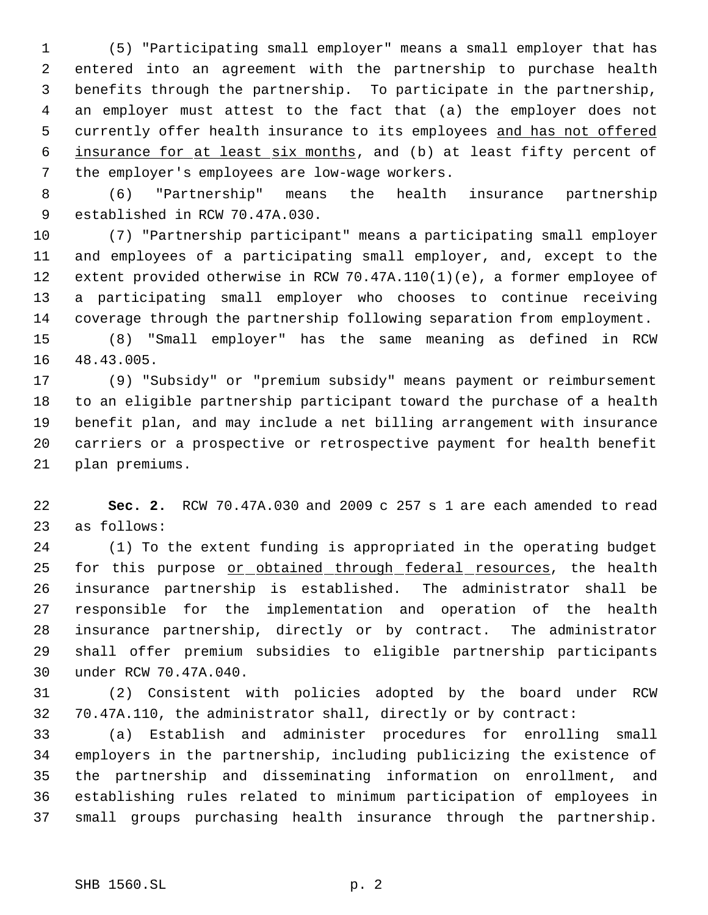(5) "Participating small employer" means a small employer that has entered into an agreement with the partnership to purchase health benefits through the partnership. To participate in the partnership, an employer must attest to the fact that (a) the employer does not 5 currently offer health insurance to its employees and has not offered insurance for at least six months, and (b) at least fifty percent of the employer's employees are low-wage workers.

 (6) "Partnership" means the health insurance partnership established in RCW 70.47A.030.

 (7) "Partnership participant" means a participating small employer and employees of a participating small employer, and, except to the extent provided otherwise in RCW 70.47A.110(1)(e), a former employee of a participating small employer who chooses to continue receiving coverage through the partnership following separation from employment.

 (8) "Small employer" has the same meaning as defined in RCW 48.43.005.

 (9) "Subsidy" or "premium subsidy" means payment or reimbursement to an eligible partnership participant toward the purchase of a health benefit plan, and may include a net billing arrangement with insurance carriers or a prospective or retrospective payment for health benefit plan premiums.

 **Sec. 2.** RCW 70.47A.030 and 2009 c 257 s 1 are each amended to read as follows:

 (1) To the extent funding is appropriated in the operating budget 25 for this purpose or obtained through federal resources, the health insurance partnership is established. The administrator shall be responsible for the implementation and operation of the health insurance partnership, directly or by contract. The administrator shall offer premium subsidies to eligible partnership participants under RCW 70.47A.040.

 (2) Consistent with policies adopted by the board under RCW 70.47A.110, the administrator shall, directly or by contract:

 (a) Establish and administer procedures for enrolling small employers in the partnership, including publicizing the existence of the partnership and disseminating information on enrollment, and establishing rules related to minimum participation of employees in small groups purchasing health insurance through the partnership.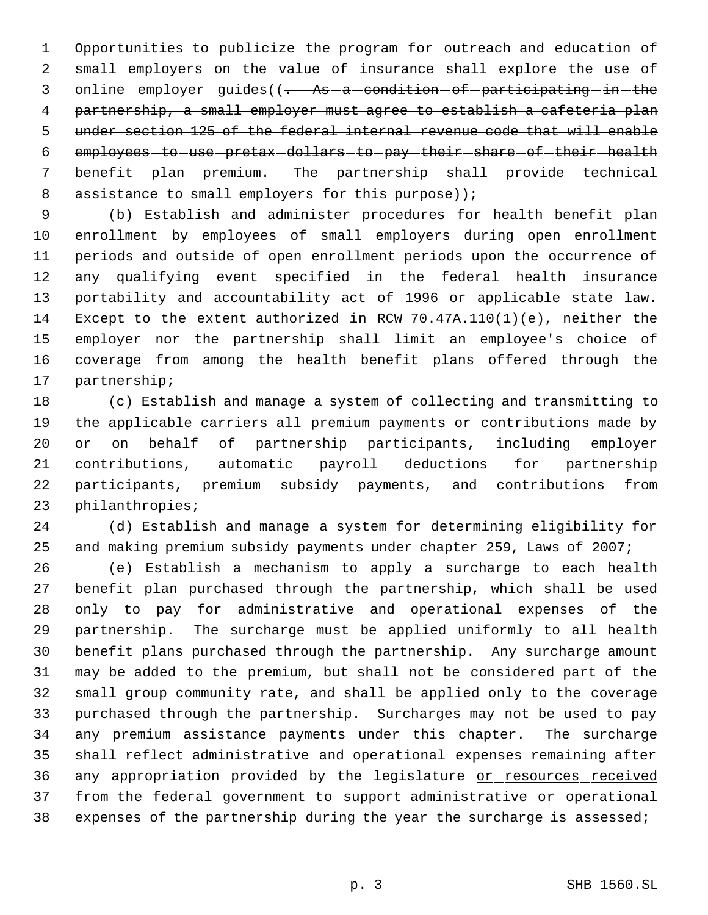Opportunities to publicize the program for outreach and education of small employers on the value of insurance shall explore the use of 3 online employer guides((- As-a-condition-of-participating-in-the partnership, a small employer must agree to establish a cafeteria plan under section 125 of the federal internal revenue code that will enable 6 employees-to-use-pretax-dollars-to-pay-their-share-of-their-health 7 benefit  $-p$ lan  $-p$ remium. The  $-p$ artnership  $-p$ shall  $-p$ rovide  $-p$ technical 8 assistance to small employers for this purpose));

 (b) Establish and administer procedures for health benefit plan enrollment by employees of small employers during open enrollment periods and outside of open enrollment periods upon the occurrence of any qualifying event specified in the federal health insurance portability and accountability act of 1996 or applicable state law. Except to the extent authorized in RCW 70.47A.110(1)(e), neither the employer nor the partnership shall limit an employee's choice of coverage from among the health benefit plans offered through the partnership;

 (c) Establish and manage a system of collecting and transmitting to the applicable carriers all premium payments or contributions made by or on behalf of partnership participants, including employer contributions, automatic payroll deductions for partnership participants, premium subsidy payments, and contributions from philanthropies;

 (d) Establish and manage a system for determining eligibility for and making premium subsidy payments under chapter 259, Laws of 2007;

 (e) Establish a mechanism to apply a surcharge to each health benefit plan purchased through the partnership, which shall be used only to pay for administrative and operational expenses of the partnership. The surcharge must be applied uniformly to all health benefit plans purchased through the partnership. Any surcharge amount may be added to the premium, but shall not be considered part of the small group community rate, and shall be applied only to the coverage purchased through the partnership. Surcharges may not be used to pay any premium assistance payments under this chapter. The surcharge shall reflect administrative and operational expenses remaining after 36 any appropriation provided by the legislature or resources received 37 from the federal government to support administrative or operational expenses of the partnership during the year the surcharge is assessed;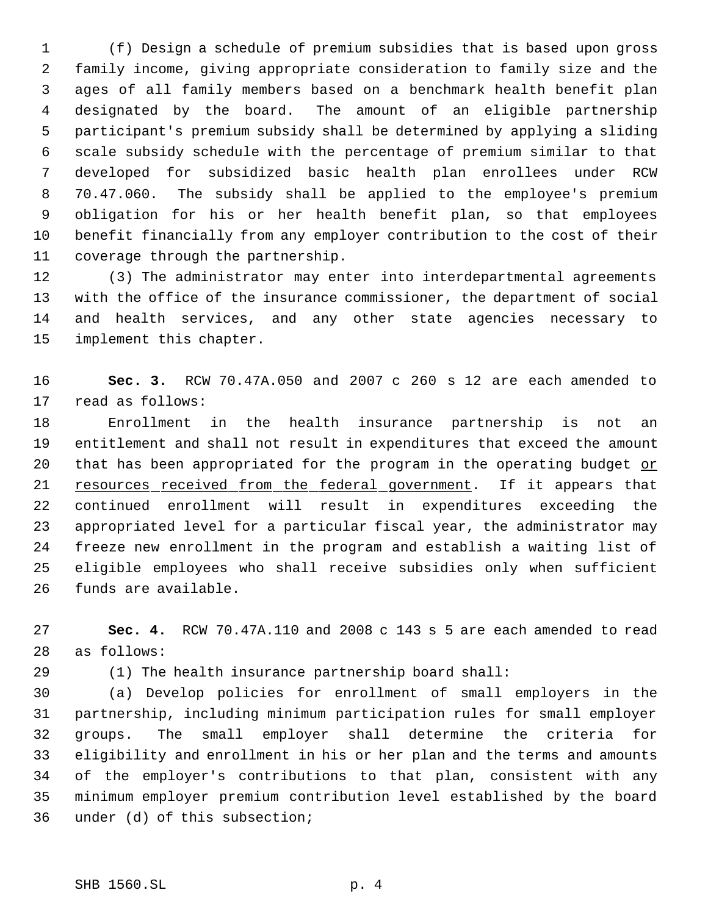(f) Design a schedule of premium subsidies that is based upon gross family income, giving appropriate consideration to family size and the ages of all family members based on a benchmark health benefit plan designated by the board. The amount of an eligible partnership participant's premium subsidy shall be determined by applying a sliding scale subsidy schedule with the percentage of premium similar to that developed for subsidized basic health plan enrollees under RCW 70.47.060. The subsidy shall be applied to the employee's premium obligation for his or her health benefit plan, so that employees benefit financially from any employer contribution to the cost of their coverage through the partnership.

 (3) The administrator may enter into interdepartmental agreements with the office of the insurance commissioner, the department of social and health services, and any other state agencies necessary to implement this chapter.

 **Sec. 3.** RCW 70.47A.050 and 2007 c 260 s 12 are each amended to read as follows:

 Enrollment in the health insurance partnership is not an entitlement and shall not result in expenditures that exceed the amount 20 that has been appropriated for the program in the operating budget or 21 resources received from the federal government. If it appears that continued enrollment will result in expenditures exceeding the appropriated level for a particular fiscal year, the administrator may freeze new enrollment in the program and establish a waiting list of eligible employees who shall receive subsidies only when sufficient funds are available.

 **Sec. 4.** RCW 70.47A.110 and 2008 c 143 s 5 are each amended to read as follows:

(1) The health insurance partnership board shall:

 (a) Develop policies for enrollment of small employers in the partnership, including minimum participation rules for small employer groups. The small employer shall determine the criteria for eligibility and enrollment in his or her plan and the terms and amounts of the employer's contributions to that plan, consistent with any minimum employer premium contribution level established by the board under (d) of this subsection;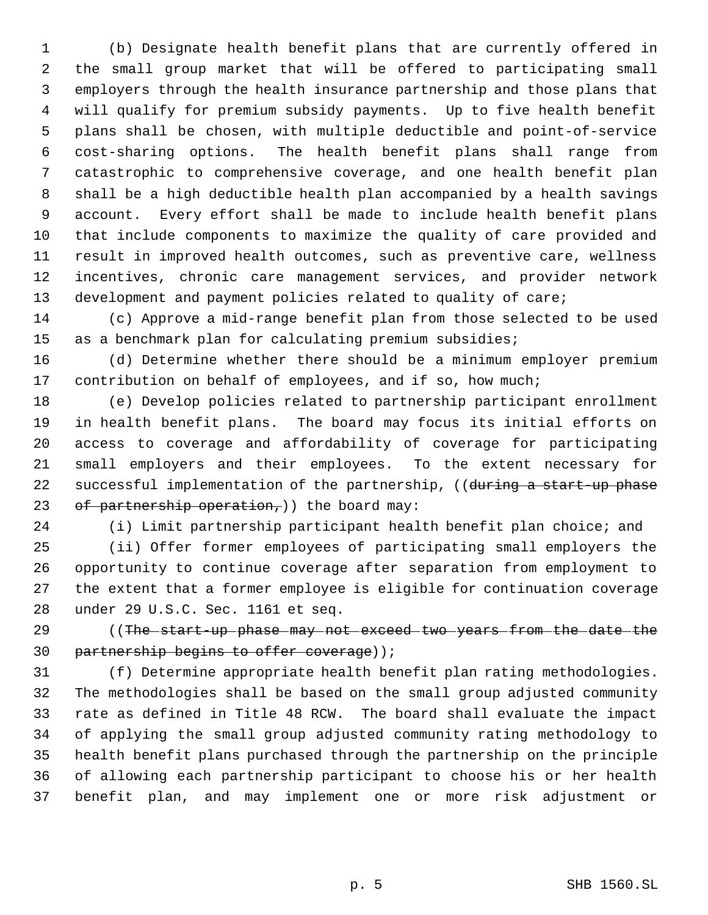(b) Designate health benefit plans that are currently offered in the small group market that will be offered to participating small employers through the health insurance partnership and those plans that will qualify for premium subsidy payments. Up to five health benefit plans shall be chosen, with multiple deductible and point-of-service cost-sharing options. The health benefit plans shall range from catastrophic to comprehensive coverage, and one health benefit plan shall be a high deductible health plan accompanied by a health savings account. Every effort shall be made to include health benefit plans that include components to maximize the quality of care provided and result in improved health outcomes, such as preventive care, wellness incentives, chronic care management services, and provider network development and payment policies related to quality of care;

 (c) Approve a mid-range benefit plan from those selected to be used as a benchmark plan for calculating premium subsidies;

 (d) Determine whether there should be a minimum employer premium 17 contribution on behalf of employees, and if so, how much;

 (e) Develop policies related to partnership participant enrollment in health benefit plans. The board may focus its initial efforts on access to coverage and affordability of coverage for participating small employers and their employees. To the extent necessary for 22 successful implementation of the partnership, ((during a start-up phase 23 of partnership operation,) the board may:

(i) Limit partnership participant health benefit plan choice; and

 (ii) Offer former employees of participating small employers the opportunity to continue coverage after separation from employment to the extent that a former employee is eligible for continuation coverage under 29 U.S.C. Sec. 1161 et seq.

29 ((The start-up phase may not exceed two years from the date the 30 partnership begins to offer coverage));

 (f) Determine appropriate health benefit plan rating methodologies. The methodologies shall be based on the small group adjusted community rate as defined in Title 48 RCW. The board shall evaluate the impact of applying the small group adjusted community rating methodology to health benefit plans purchased through the partnership on the principle of allowing each partnership participant to choose his or her health benefit plan, and may implement one or more risk adjustment or